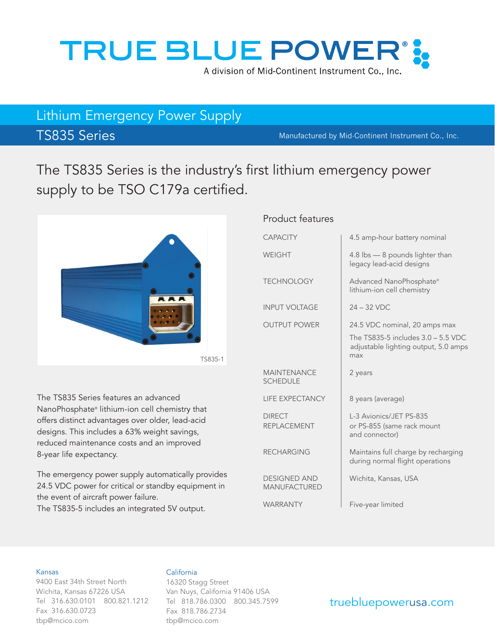

# Lithium Emergency Power Supply

TS835 Series Manufactured by Mid-Continent Instrument Co., Inc.

The TS835 Series is the industry's first lithium emergency power supply to be TSO C179a certified.



The TS835 Series features an advanced NanoPhosphate® lithium-ion cell chemistry that offers distinct advantages over older, lead-acid designs. This includes a 63% weight savings, reduced maintenance costs and an improved 8-year life expectancy.

The emergency power supply automatically provides 24.5 VDC power for critical or standby equipment in the event of aircraft power failure.

The TS835-5 includes an integrated 5V output.

### Product features

| <b>CAPACITY</b>                       | 4.5 amp-hour battery nominal                                                                                       |
|---------------------------------------|--------------------------------------------------------------------------------------------------------------------|
| <b>WEIGHT</b>                         | 4.8 lbs - 8 pounds lighter than<br>legacy lead-acid designs                                                        |
| <b>TECHNOLOGY</b>                     | Advanced NanoPhosphate®<br>lithium-ion cell chemistry                                                              |
| <b>INPUT VOLTAGE</b>                  | $24 - 32$ VDC                                                                                                      |
| <b>OUTPUT POWER</b>                   | 24.5 VDC nominal, 20 amps max<br>The TS835-5 includes 3.0 - 5.5 VDC<br>adjustable lighting output, 5.0 amps<br>max |
| <b>MAINTENANCE</b><br><b>SCHEDULE</b> | 2 years                                                                                                            |
| <b>LIFE EXPECTANCY</b>                | 8 years (average)                                                                                                  |
| <b>DIRECT</b><br><b>REPLACEMENT</b>   | L-3 Avionics/JET PS-835<br>or PS-855 (same rack mount<br>and connector)                                            |
| <b>RECHARGING</b>                     | Maintains full charge by recharging<br>during normal flight operations                                             |
| <b>DESIGNED AND</b><br>MANUFACTURED   | Wichita, Kansas, USA                                                                                               |
| <b>WARRANTY</b>                       | Five-year limited                                                                                                  |

### Kansas

9400 East 34th Street North Wichita, Kansas 67226 USA Tel 316.630.0101 800.821.1212 Fax 316.630.0723 tbp@mcico.com

### California

16320 Stagg Street Van Nuys, California 91406 USA Tel 818.786.0300 800.345.7599 Fax 818.786.2734 tbp@mcico.com

### truebluepowerusa.com